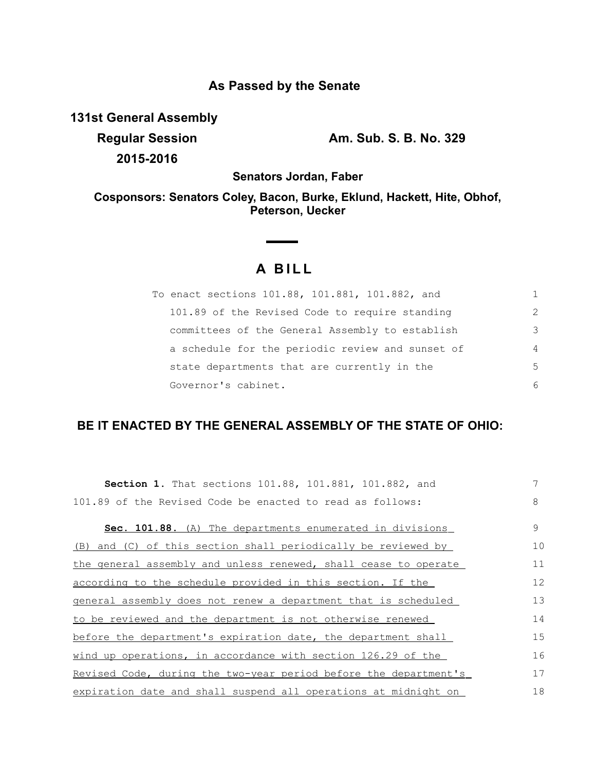# **As Passed by the Senate**

**131st General Assembly**

**2015-2016**

**Regular Session Am. Sub. S. B. No. 329**

**Senators Jordan, Faber**

**Cosponsors: Senators Coley, Bacon, Burke, Eklund, Hackett, Hite, Obhof, Peterson, Uecker**

# **A B I L L**

| To enact sections 101.88, 101.881, 101.882, and  |                |
|--------------------------------------------------|----------------|
| 101.89 of the Revised Code to require standing   | $\mathcal{L}$  |
| committees of the General Assembly to establish  | 3              |
| a schedule for the periodic review and sunset of | $\overline{4}$ |
| state departments that are currently in the      | .5             |
| Governor's cabinet.                              | 6              |

# **BE IT ENACTED BY THE GENERAL ASSEMBLY OF THE STATE OF OHIO:**

| <b>Section 1.</b> That sections 101.88, 101.881, 101.882, and    | 7  |
|------------------------------------------------------------------|----|
| 101.89 of the Revised Code be enacted to read as follows:        | 8  |
| Sec. 101.88. (A) The departments enumerated in divisions         | 9  |
| (B) and (C) of this section shall periodically be reviewed by    | 10 |
| the general assembly and unless renewed, shall cease to operate  | 11 |
| according to the schedule provided in this section. If the       | 12 |
| general assembly does not renew a department that is scheduled   | 13 |
| to be reviewed and the department is not otherwise renewed       | 14 |
| before the department's expiration date, the department shall    | 15 |
| wind up operations, in accordance with section 126.29 of the     | 16 |
| Revised Code, during the two-year period before the department's | 17 |
| expiration date and shall suspend all operations at midnight on  | 18 |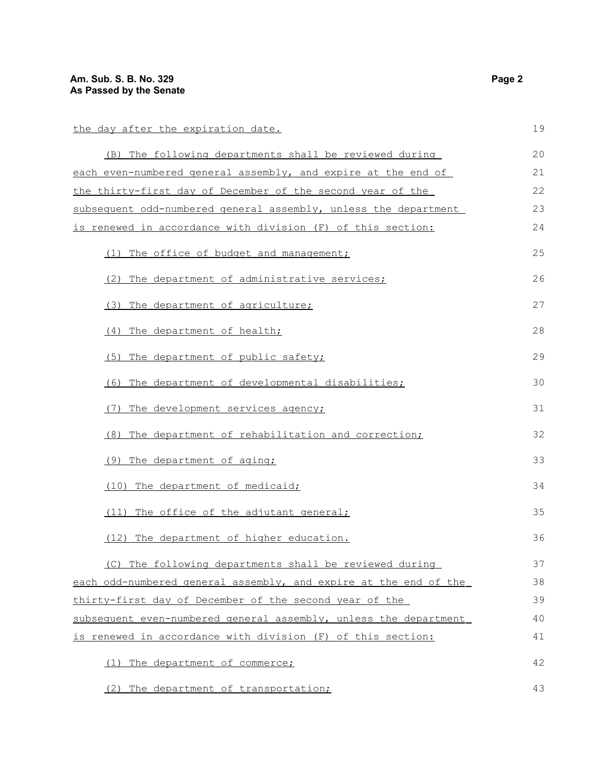43

#### the day after the expiration date. ( B) The following departments shall be reviewed during each even-numbered general assembly, and expire at the end of the thirty-first day of December of the second year of the subsequent odd-numbered general assembly, unless the department is renewed in accordance with division (F) of this section: (1) The office of budget and management; (2) The department of administrative services; (3) The department of agriculture; (4) The department of health; (5) The department of public safety; (6) The department of developmental disabilities; (7) The development services agency; (8) The department of rehabilitation and correction; (9) The department of aging; (10) The department of medicaid; (11) The office of the adjutant general; (12) The department of higher education. ( C) The following departments shall be reviewed during each odd-numbered general assembly, and expire at the end of the thirty-first day of December of the second year of the subsequent even-numbered general assembly, unless the department is renewed in accordance with division (F) of this section: (1) The department of commerce; 19 20 21 22 23 24 25 26 27 28 29 30 31 32 33 34 35 36 37 38 39 40 41 42

(2) The department of transportation;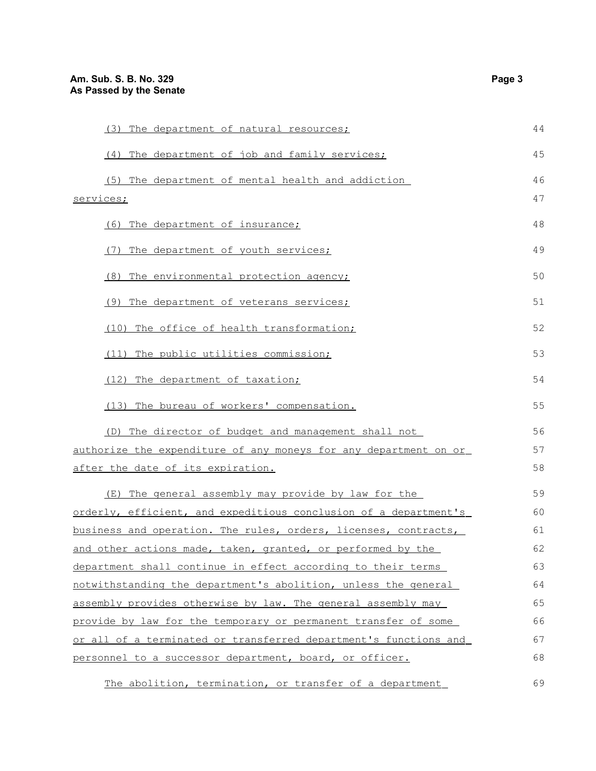| (3) The department of natural resources;                         | 44 |
|------------------------------------------------------------------|----|
| (4) The department of job and family services;                   | 45 |
| (5) The department of mental health and addiction                | 46 |
| services;                                                        |    |
| (6) The department of insurance;                                 | 48 |
| (7) The department of youth services;                            | 49 |
| (8) The environmental protection agency;                         | 50 |
| (9) The department of veterans services;                         | 51 |
| (10) The office of health transformation;                        | 52 |
| (11) The public utilities commission;                            | 53 |
| (12) The department of taxation;                                 | 54 |
| (13) The bureau of workers' compensation.                        | 55 |
| (D) The director of budget and management shall not              | 56 |
| authorize the expenditure of any moneys for any department on or |    |
| after the date of its expiration.                                |    |
| (E) The general assembly may provide by law for the              | 59 |
| orderly, efficient, and expeditious conclusion of a department's | 60 |
| business and operation. The rules, orders, licenses, contracts,  | 61 |
| and other actions made, taken, granted, or performed by the      | 62 |
| department shall continue in effect according to their terms     | 63 |
| notwithstanding the department's abolition, unless the general   | 64 |
| assembly provides otherwise by law. The general assembly may     | 65 |
| provide by law for the temporary or permanent transfer of some   | 66 |
| or all of a terminated or transferred department's functions and | 67 |
| personnel to a successor department, board, or officer.          | 68 |
| The abolition, termination, or transfer of a department          | 69 |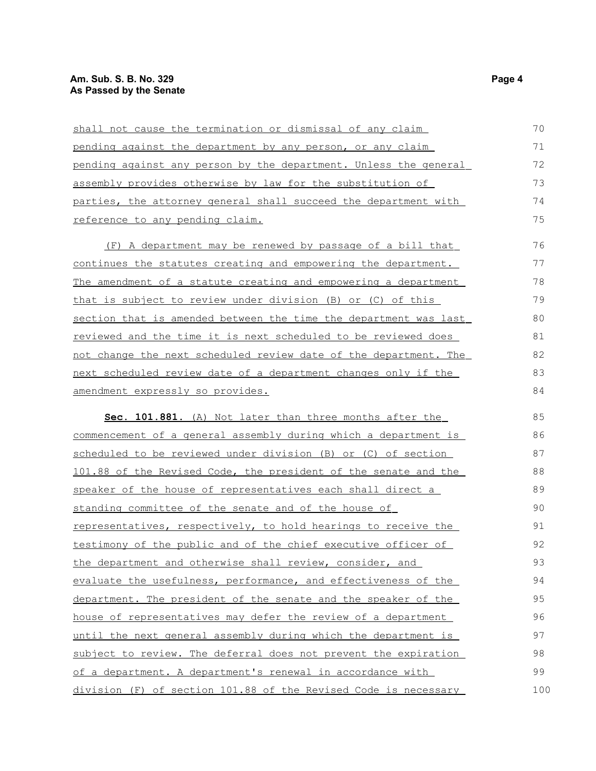## **Am. Sub. S. B. No. 329 Page 4 As Passed by the Senate**

| shall not cause the termination or dismissal of any claim        | 70  |
|------------------------------------------------------------------|-----|
| pending against the department by any person, or any claim       | 71  |
| pending against any person by the department. Unless the general | 72  |
| assembly provides otherwise by law for the substitution of       | 73  |
| parties, the attorney general shall succeed the department with  | 74  |
| reference to any pending claim.                                  | 75  |
| (F) A department may be renewed by passage of a bill that        | 76  |
| continues the statutes creating and empowering the department.   | 77  |
| The amendment of a statute creating and empowering a department  | 78  |
| that is subject to review under division (B) or (C) of this      | 79  |
| section that is amended between the time the department was last | 80  |
| reviewed and the time it is next scheduled to be reviewed does   | 81  |
| not change the next scheduled review date of the department. The | 82  |
| next scheduled review date of a department changes only if the   | 83  |
| amendment expressly so provides.                                 | 84  |
| Sec. 101.881. (A) Not later than three months after the          | 85  |
| commencement of a general assembly during which a department is  | 86  |
| scheduled to be reviewed under division (B) or (C) of section    | 87  |
| 101.88 of the Revised Code, the president of the senate and the  | 88  |
| speaker of the house of representatives each shall direct a      | 89  |
| standing committee of the senate and of the house of             | 90  |
| representatives, respectively, to hold hearings to receive the   | 91  |
| testimony of the public and of the chief executive officer of    | 92  |
| the department and otherwise shall review, consider, and         | 93  |
| evaluate the usefulness, performance, and effectiveness of the   | 94  |
| department. The president of the senate and the speaker of the   | 95  |
| house of representatives may defer the review of a department    | 96  |
| until the next general assembly during which the department is   | 97  |
| subject to review. The deferral does not prevent the expiration  | 98  |
| of a department. A department's renewal in accordance with       | 99  |
| division (F) of section 101.88 of the Revised Code is necessary  | 100 |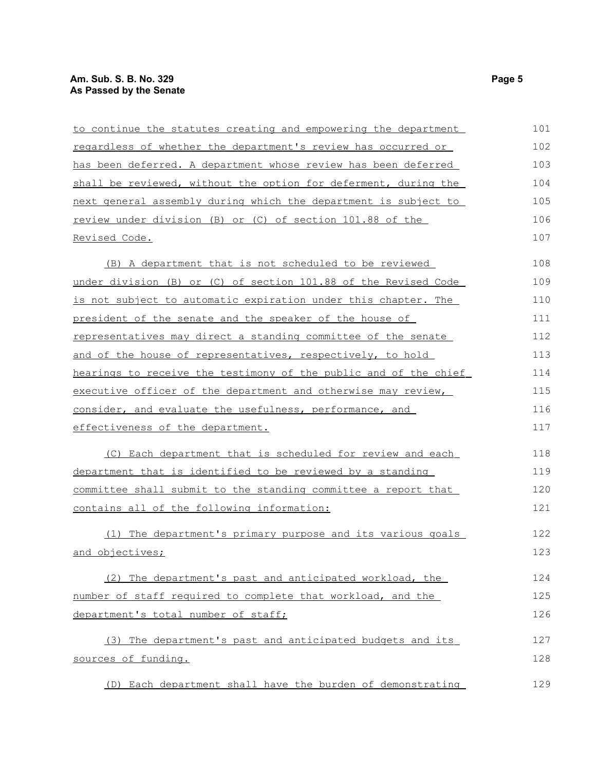## **Am. Sub. S. B. No. 329 Page 5 As Passed by the Senate**

| to continue the statutes creating and empowering the department  | 101 |
|------------------------------------------------------------------|-----|
| regardless of whether the department's review has occurred or    | 102 |
| has been deferred. A department whose review has been deferred   | 103 |
| shall be reviewed, without the option for deferment, during the  | 104 |
| next general assembly during which the department is subject to  | 105 |
| review under division (B) or (C) of section 101.88 of the        | 106 |
| Revised Code.                                                    | 107 |
| (B) A department that is not scheduled to be reviewed            | 108 |
| under division (B) or (C) of section 101.88 of the Revised Code  | 109 |
| is not subject to automatic expiration under this chapter. The   | 110 |
| president of the senate and the speaker of the house of          | 111 |
| representatives may direct a standing committee of the senate    | 112 |
| and of the house of representatives, respectively, to hold       | 113 |
| hearings to receive the testimony of the public and of the chief | 114 |
| executive officer of the department and otherwise may review,    | 115 |
| consider, and evaluate the usefulness, performance, and          | 116 |
| effectiveness of the department.                                 | 117 |
| (C) Each department that is scheduled for review and each        | 118 |
| department that is identified to be reviewed by a standing       | 119 |
| committee shall submit to the standing committee a report that   | 120 |
| contains all of the following information:                       | 121 |
| (1) The department's primary purpose and its various goals       | 122 |
| and objectives;                                                  | 123 |
| (2) The department's past and anticipated workload, the          | 124 |
| number of staff required to complete that workload, and the      | 125 |
| department's total number of staff;                              | 126 |
| (3) The department's past and anticipated budgets and its        | 127 |
| sources of funding.                                              | 128 |
| (D) Each department shall have the burden of demonstrating       | 129 |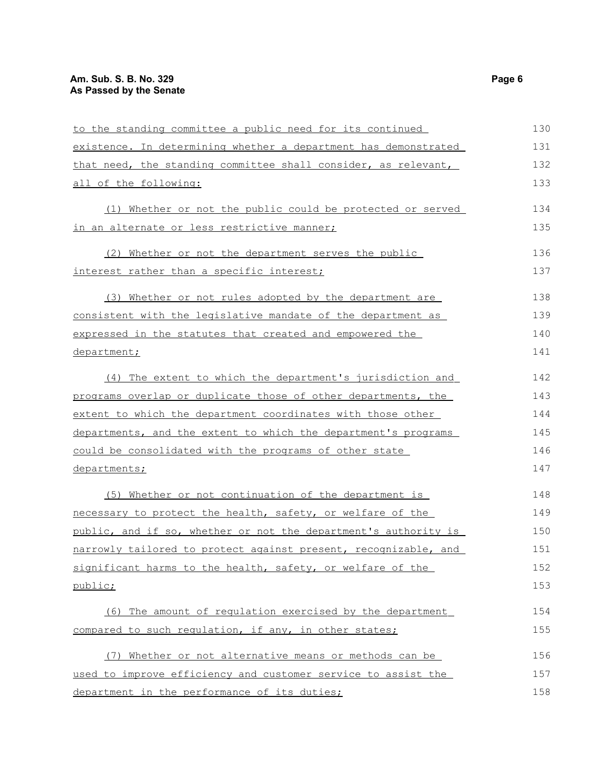| to the standing committee a public need for its continued       | 130 |
|-----------------------------------------------------------------|-----|
| existence. In determining whether a department has demonstrated | 131 |
| that need, the standing committee shall consider, as relevant,  | 132 |
| all of the following:                                           | 133 |
| (1) Whether or not the public could be protected or served      | 134 |
| in an alternate or less restrictive manner;                     | 135 |
| (2) Whether or not the department serves the public             | 136 |
| interest rather than a specific interest;                       | 137 |
| (3) Whether or not rules adopted by the department are          | 138 |
| consistent with the legislative mandate of the department as    | 139 |
| expressed in the statutes that created and empowered the        | 140 |
| department;                                                     | 141 |
| (4) The extent to which the department's jurisdiction and       | 142 |
| programs overlap or duplicate those of other departments, the   | 143 |
| extent to which the department coordinates with those other     | 144 |
| departments, and the extent to which the department's programs  | 145 |
| could be consolidated with the programs of other state          | 146 |
| departments;                                                    | 147 |
| (5) Whether or not continuation of the department is            | 148 |
| necessary to protect the health, safety, or welfare of the      | 149 |
| public, and if so, whether or not the department's authority is | 150 |
| narrowly tailored to protect against present, recognizable, and | 151 |
| significant harms to the health, safety, or welfare of the      | 152 |
| public;                                                         | 153 |
| (6) The amount of regulation exercised by the department        | 154 |
| compared to such regulation, if any, in other states;           | 155 |
| (7) Whether or not alternative means or methods can be          | 156 |
| used to improve efficiency and customer service to assist the   | 157 |
| department in the performance of its duties;                    | 158 |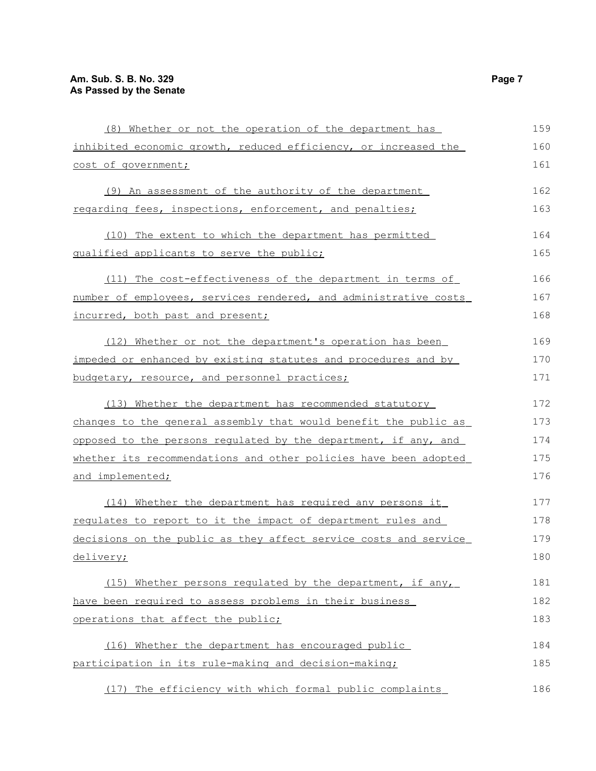| (8) Whether or not the operation of the department has           | 159 |
|------------------------------------------------------------------|-----|
| inhibited economic growth, reduced efficiency, or increased the  | 160 |
| cost of government;                                              | 161 |
| (9) An assessment of the authority of the department             | 162 |
| regarding fees, inspections, enforcement, and penalties;         | 163 |
| (10) The extent to which the department has permitted            | 164 |
| qualified applicants to serve the public;                        | 165 |
| (11) The cost-effectiveness of the department in terms of        | 166 |
| number of employees, services rendered, and administrative costs | 167 |
| incurred, both past and present;                                 | 168 |
| (12) Whether or not the department's operation has been          | 169 |
| impeded or enhanced by existing statutes and procedures and by   | 170 |
| budgetary, resource, and personnel practices;                    | 171 |
| (13) Whether the department has recommended statutory            | 172 |
| changes to the general assembly that would benefit the public as | 173 |
| opposed to the persons regulated by the department, if any, and  | 174 |
| whether its recommendations and other policies have been adopted | 175 |
| and implemented;                                                 | 176 |
| (14) Whether the department has required any persons it          | 177 |
| requlates to report to it the impact of department rules and     | 178 |
| decisions on the public as they affect service costs and service | 179 |
| <u>delivery;</u>                                                 | 180 |
| (15) Whether persons regulated by the department, if any,        | 181 |
| have been required to assess problems in their business          | 182 |
| operations that affect the public;                               | 183 |
| (16) Whether the department has encouraged public                | 184 |
| participation in its rule-making and decision-making;            | 185 |
| (17) The efficiency with which formal public complaints          | 186 |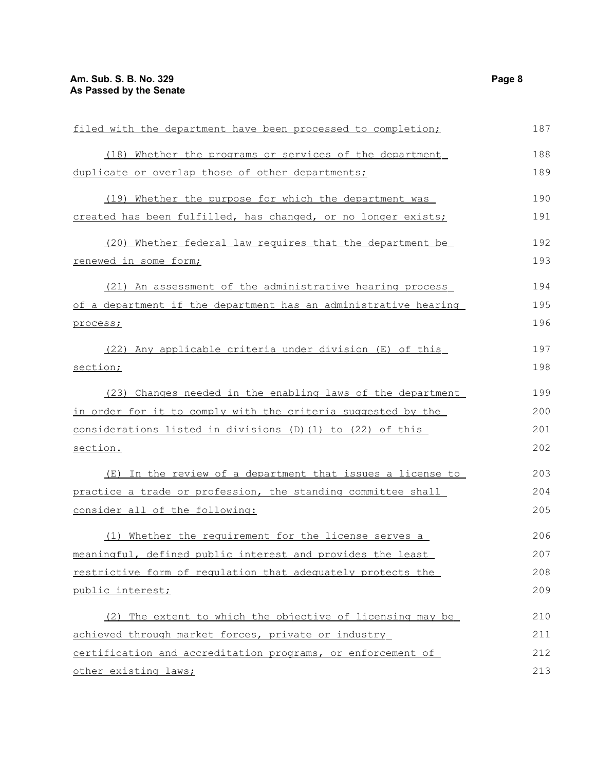| filed with the department have been processed to completion;    | 187 |
|-----------------------------------------------------------------|-----|
| (18) Whether the programs or services of the department         | 188 |
| duplicate or overlap those of other departments;                | 189 |
| (19) Whether the purpose for which the department was           | 190 |
| created has been fulfilled, has changed, or no longer exists;   | 191 |
| (20) Whether federal law requires that the department be        | 192 |
| renewed in some form;                                           |     |
| (21) An assessment of the administrative hearing process        | 194 |
| of a department if the department has an administrative hearing | 195 |
| process;                                                        | 196 |
| (22) Any applicable criteria under division (E) of this         | 197 |
| section;                                                        |     |
| (23) Changes needed in the enabling laws of the department      | 199 |
| in order for it to comply with the criteria suggested by the    | 200 |
| considerations listed in divisions (D) (1) to (22) of this      |     |
| section.                                                        | 202 |
| (E) In the review of a department that issues a license to      | 203 |
| practice a trade or profession, the standing committee shall    | 204 |
| consider all of the following:                                  | 205 |
| (1) Whether the requirement for the license serves a            | 206 |
| meaningful, defined public interest and provides the least      | 207 |
| restrictive form of regulation that adequately protects the     | 208 |
| public interest;                                                | 209 |
| (2) The extent to which the objective of licensing may be       | 210 |
| achieved through market forces, private or industry             | 211 |
| certification and accreditation programs, or enforcement of     | 212 |
| other existing laws;                                            | 213 |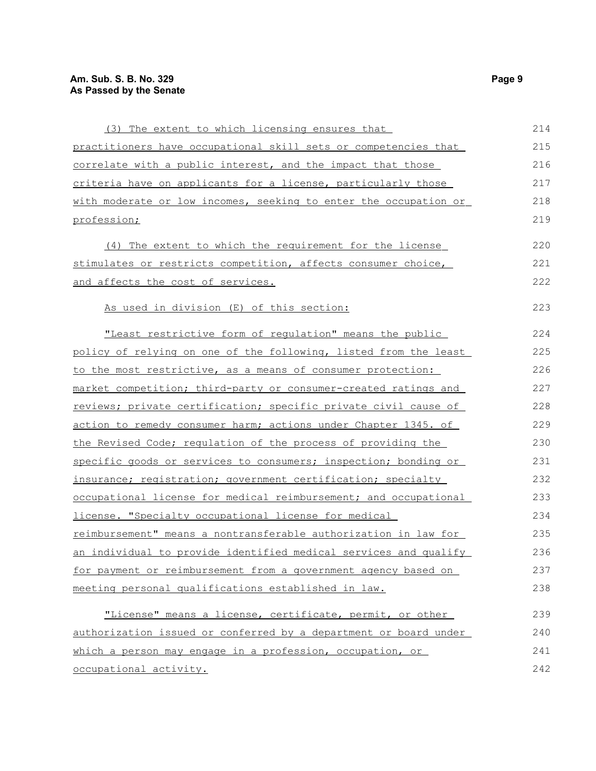| (3) The extent to which licensing ensures that                   | 214 |
|------------------------------------------------------------------|-----|
| practitioners have occupational skill sets or competencies that  | 215 |
| correlate with a public interest, and the impact that those      | 216 |
| criteria have on applicants for a license, particularly those    | 217 |
| with moderate or low incomes, seeking to enter the occupation or | 218 |
| profession;                                                      | 219 |
| (4) The extent to which the requirement for the license          | 220 |
| stimulates or restricts competition, affects consumer choice,    | 221 |
| and affects the cost of services.                                | 222 |
| As used in division (E) of this section:                         | 223 |
| "Least restrictive form of requlation" means the public          | 224 |
| policy of relying on one of the following, listed from the least | 225 |
| to the most restrictive, as a means of consumer protection:      | 226 |
| market competition; third-party or consumer-created ratings and  | 227 |
| reviews; private certification; specific private civil cause of  | 228 |
| action to remedy consumer harm; actions under Chapter 1345. of   | 229 |
| the Revised Code; regulation of the process of providing the     | 230 |
| specific goods or services to consumers; inspection; bonding or  | 231 |
| insurance; registration; government certification; specialty     | 232 |
| occupational license for medical reimbursement; and occupational | 233 |
| license. "Specialty occupational license for medical             | 234 |
| reimbursement" means a nontransferable authorization in law for  | 235 |
| an individual to provide identified medical services and qualify | 236 |
| for payment or reimbursement from a government agency based on   | 237 |
| meeting personal qualifications established in law.              | 238 |
| "License" means a license, certificate, permit, or other         | 239 |
| authorization issued or conferred by a department or board under | 240 |
| which a person may engage in a profession, occupation, or        | 241 |
| occupational activity.                                           | 242 |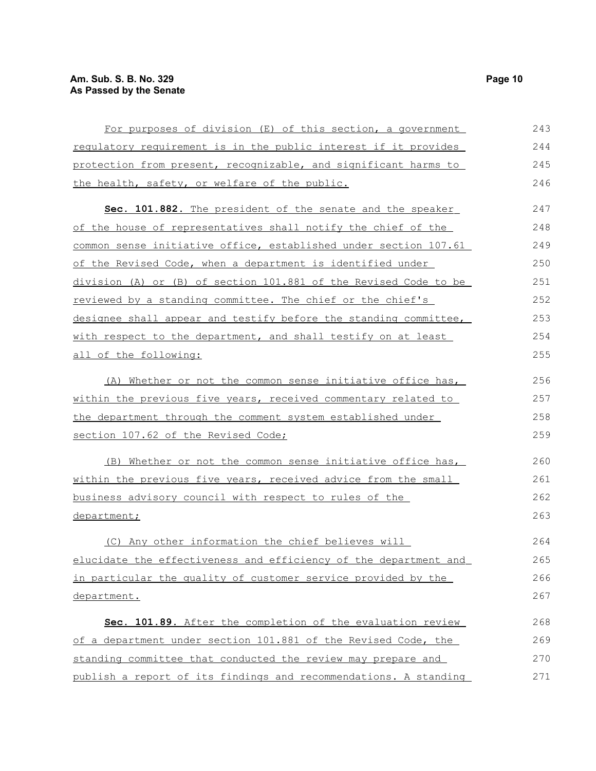| For purposes of division (E) of this section, a government       | 243 |
|------------------------------------------------------------------|-----|
| requlatory requirement is in the public interest if it provides  | 244 |
| protection from present, recognizable, and significant harms to  | 245 |
| the health, safety, or welfare of the public.                    | 246 |
| Sec. 101.882. The president of the senate and the speaker        | 247 |
| of the house of representatives shall notify the chief of the    | 248 |
| common sense initiative office, established under section 107.61 | 249 |
| of the Revised Code, when a department is identified under       | 250 |
| division (A) or (B) of section 101.881 of the Revised Code to be | 251 |
| reviewed by a standing committee. The chief or the chief's       | 252 |
| designee shall appear and testify before the standing committee, | 253 |
| with respect to the department, and shall testify on at least    | 254 |
| all of the following:                                            | 255 |
| (A) Whether or not the common sense initiative office has,       | 256 |
| within the previous five years, received commentary related to   | 257 |
| the department through the comment system established under      | 258 |
| section 107.62 of the Revised Code;                              | 259 |
| (B) Whether or not the common sense initiative office has,       | 260 |
| within the previous five years, received advice from the small   | 261 |
| business advisory council with respect to rules of the           | 262 |
| department;                                                      | 263 |
| (C) Any other information the chief believes will                | 264 |
| elucidate the effectiveness and efficiency of the department and | 265 |
| in particular the quality of customer service provided by the    | 266 |
| department.                                                      | 267 |
| Sec. 101.89. After the completion of the evaluation review       | 268 |
| of a department under section 101.881 of the Revised Code, the   | 269 |
| standing committee that conducted the review may prepare and     | 270 |
| publish a report of its findings and recommendations. A standing | 271 |